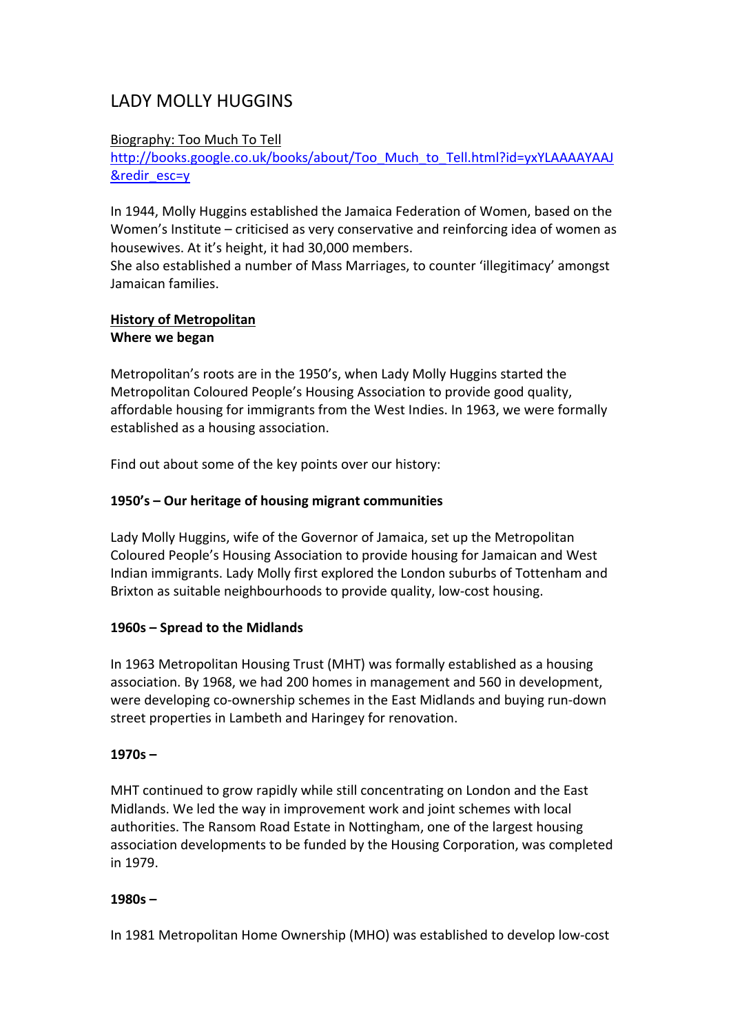# LADY MOLLY HUGGINS

#### Biography: Too Much To Tell

http://books.google.co.uk/books/about/Too\_Much\_to\_Tell.html?id=yxYLAAAAYAAJ &redir\_esc=y

In 1944, Molly Huggins established the Jamaica Federation of Women, based on the Women's Institute – criticised as very conservative and reinforcing idea of women as housewives. At it's height, it had 30,000 members.

She also established a number of Mass Marriages, to counter 'illegitimacy' amongst Jamaican families.

# **History of Metropolitan**

#### **Where we began**

Metropolitan's roots are in the 1950's, when Lady Molly Huggins started the Metropolitan Coloured People's Housing Association to provide good quality, affordable housing for immigrants from the West Indies. In 1963, we were formally established as a housing association.

Find out about some of the key points over our history:

## **1950's – Our heritage of housing migrant communities**

Lady Molly Huggins, wife of the Governor of Jamaica, set up the Metropolitan Coloured People's Housing Association to provide housing for Jamaican and West Indian immigrants. Lady Molly first explored the London suburbs of Tottenham and Brixton as suitable neighbourhoods to provide quality, low‐cost housing.

## **1960s – Spread to the Midlands**

In 1963 Metropolitan Housing Trust (MHT) was formally established as a housing association. By 1968, we had 200 homes in management and 560 in development, were developing co-ownership schemes in the East Midlands and buying run-down street properties in Lambeth and Haringey for renovation.

## **1970s –**

MHT continued to grow rapidly while still concentrating on London and the East Midlands. We led the way in improvement work and joint schemes with local authorities. The Ransom Road Estate in Nottingham, one of the largest housing association developments to be funded by the Housing Corporation, was completed in 1979.

## **1980s –**

In 1981 Metropolitan Home Ownership (MHO) was established to develop low‐cost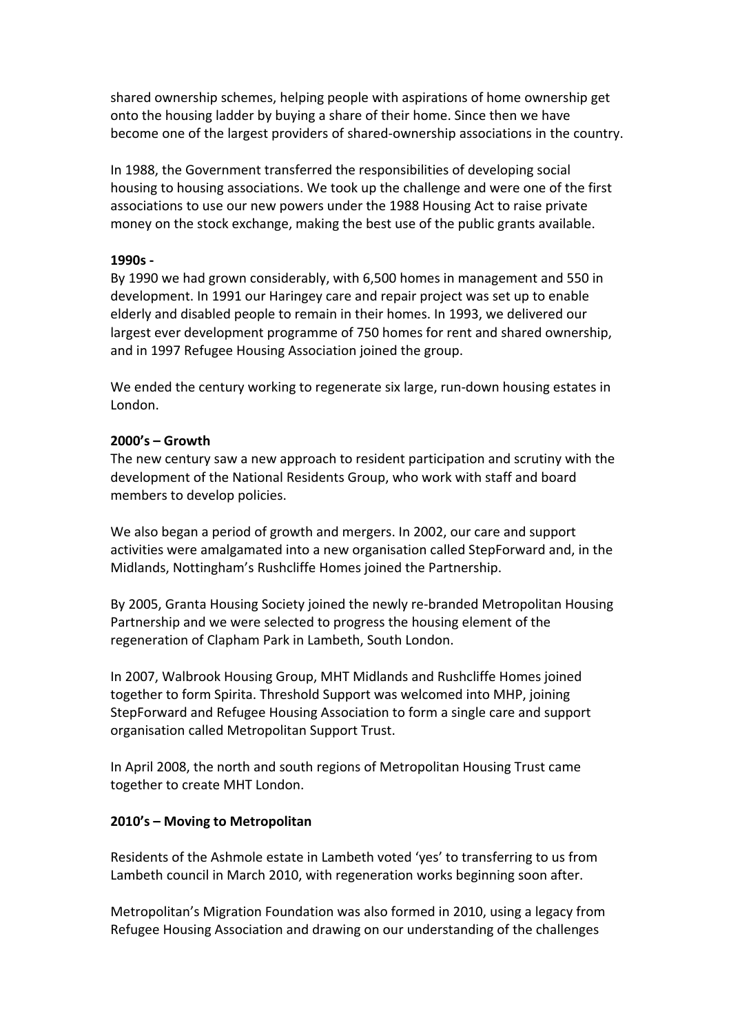shared ownership schemes, helping people with aspirations of home ownership get onto the housing ladder by buying a share of their home. Since then we have become one of the largest providers of shared‐ownership associations in the country.

In 1988, the Government transferred the responsibilities of developing social housing to housing associations. We took up the challenge and were one of the first associations to use our new powers under the 1988 Housing Act to raise private money on the stock exchange, making the best use of the public grants available.

#### **1990s ‐**

By 1990 we had grown considerably, with 6,500 homes in management and 550 in development. In 1991 our Haringey care and repair project was set up to enable elderly and disabled people to remain in their homes. In 1993, we delivered our largest ever development programme of 750 homes for rent and shared ownership, and in 1997 Refugee Housing Association joined the group.

We ended the century working to regenerate six large, run-down housing estates in London.

## **2000's – Growth**

The new century saw a new approach to resident participation and scrutiny with the development of the National Residents Group, who work with staff and board members to develop policies.

We also began a period of growth and mergers. In 2002, our care and support activities were amalgamated into a new organisation called StepForward and, in the Midlands, Nottingham's Rushcliffe Homes joined the Partnership.

By 2005, Granta Housing Society joined the newly re‐branded Metropolitan Housing Partnership and we were selected to progress the housing element of the regeneration of Clapham Park in Lambeth, South London.

In 2007, Walbrook Housing Group, MHT Midlands and Rushcliffe Homes joined together to form Spirita. Threshold Support was welcomed into MHP, joining StepForward and Refugee Housing Association to form a single care and support organisation called Metropolitan Support Trust.

In April 2008, the north and south regions of Metropolitan Housing Trust came together to create MHT London.

## **2010's – Moving to Metropolitan**

Residents of the Ashmole estate in Lambeth voted 'yes' to transferring to us from Lambeth council in March 2010, with regeneration works beginning soon after.

Metropolitan's Migration Foundation was also formed in 2010, using a legacy from Refugee Housing Association and drawing on our understanding of the challenges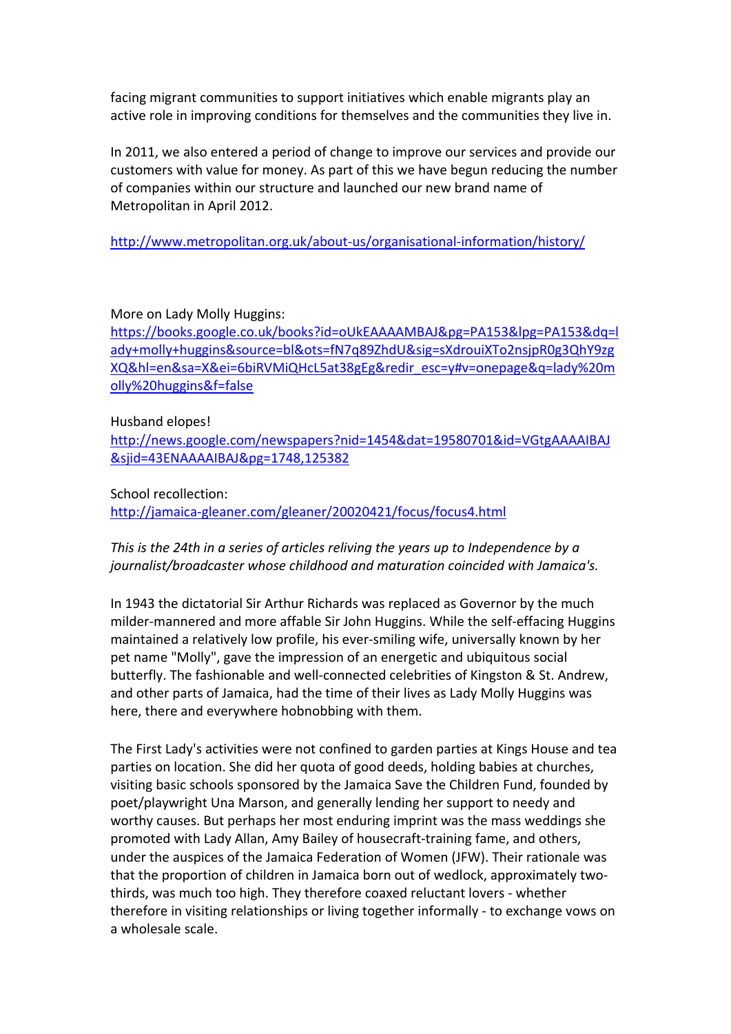facing migrant communities to support initiatives which enable migrants play an active role in improving conditions for themselves and the communities they live in.

In 2011, we also entered a period of change to improve our services and provide our customers with value for money. As part of this we have begun reducing the number of companies within our structure and launched our new brand name of Metropolitan in April 2012.

http://www.metropolitan.org.uk/about‐us/organisational‐information/history/

## More on Lady Molly Huggins:

https://books.google.co.uk/books?id=oUkEAAAAMBAJ&pg=PA153&lpg=PA153&dq=l ady+molly+huggins&source=bl&ots=fN7q89ZhdU&sig=sXdrouiXTo2nsjpR0g3QhY9zg XQ&hl=en&sa=X&ei=6biRVMiQHcL5at38gEg&redir\_esc=y#v=onepage&q=lady%20m olly%20huggins&f=false

#### Husband elopes!

http://news.google.com/newspapers?nid=1454&dat=19580701&id=VGtgAAAAIBAJ &sjid=43ENAAAAIBAJ&pg=1748,125382

#### School recollection:

http://jamaica‐gleaner.com/gleaner/20020421/focus/focus4.html

# *This is the 24th in a series of articles reliving the years up to Independence by a journalist/broadcaster whose childhood and maturation coincided with Jamaica's.*

In 1943 the dictatorial Sir Arthur Richards was replaced as Governor by the much milder-mannered and more affable Sir John Huggins. While the self-effacing Huggins maintained a relatively low profile, his ever‐smiling wife, universally known by her pet name "Molly", gave the impression of an energetic and ubiquitous social butterfly. The fashionable and well‐connected celebrities of Kingston & St. Andrew, and other parts of Jamaica, had the time of their lives as Lady Molly Huggins was here, there and everywhere hobnobbing with them.

The First Lady's activities were not confined to garden parties at Kings House and tea parties on location. She did her quota of good deeds, holding babies at churches, visiting basic schools sponsored by the Jamaica Save the Children Fund, founded by poet/playwright Una Marson, and generally lending her support to needy and worthy causes. But perhaps her most enduring imprint was the mass weddings she promoted with Lady Allan, Amy Bailey of housecraft‐training fame, and others, under the auspices of the Jamaica Federation of Women (JFW). Their rationale was that the proportion of children in Jamaica born out of wedlock, approximately two‐ thirds, was much too high. They therefore coaxed reluctant lovers ‐ whether therefore in visiting relationships or living together informally ‐ to exchange vows on a wholesale scale.